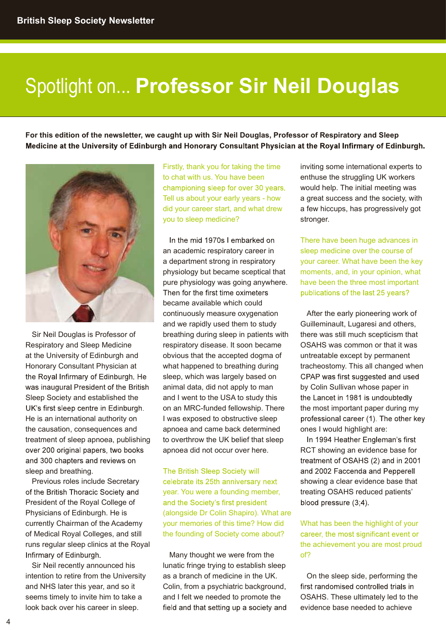# Spotlight on... Professor Sir Neil Douglas

For this edition of the newsletter, we caught up with Sir Neil Douglas, Professor of Respiratory and Sleep Medicine at the University of Edinburgh and Honorary Consultant Physician at the Royal Infirmary of Edinburgh.



Sir Neil Douglas is Professor of Respiratory and Sleep Medicine at the University of Edinburgh and Honorary Consultant Physician at the Royal Infirmary of Edinburgh. He was inaugural President of the British Sleep Society and established the UK's first sleep centre in Edinburgh. He is an international authority on the causation, consequences and treatment of sleep apnoea, publishing over 200 original papers, two books and 300 chapters and reviews on sleep and breathing.

Previous roles include Secretary elebrate its 25th anniversary next of the British Thoracic Society and President of the Royal College of Physicians of Edinburgh. He is currently Chairman of the Academy of Medical Royal Colleges, and still runs regular sleep clinics at the Royal Infirmary of Edinburgh.

Sir Neil recently announced his intention to retire from the University and NHS later this year, and so it seems timely to invite him to take a

Firstly, thank you for taking the time to chat with us. You have been championing sleep for over 30 years. Tell us about your early years - how did your career start, and what drew you to sleep medicine?

In the mid 1970s I embarked on an academic respiratory career in a department strong in respiratory physiology but became sceptical that pure physiology was going anywhere. Then for the first time oximeters became available which could continuously measure oxygenation and we rapidly used them to study breathing during sleep in patients with respiratory disease. It soon became obvious that the accepted dogma of what happened to breathing during sleep, which was largely based on CPAP was first suggested and used animal data, did not apply to man and I went to the USA to study this the Lancet in 1981 is undoubtedly on an MRC-funded fellowship. There apnoea and came back determined to overthrow the UK belief that sleep ln 1994 Heather Engleman's first apnoea did not occur over here.

The British Sleep Society will year. You were a founding member, (alongside Dr Colin Shapiro). What are your memories of this time? How did the founding of Society come about? career, the most significant event or

look back over his career in sleep. Field and that setting up a society and Many thought we were from the of? lunatic fringe trying to establish sleep as a branch of medicine in the UK. Colin, from a psychiatric background, first randomised controlled trials in and I felt we needed to promote the

inviting some international experts to enthuse the struggling UK workers would help. The initial meeting was a great success and the society, with a few hiccups, has progressively got stronger.

There have been huge advances in sleep medicine over the course of your career. What have been the key moments, and, in your opinion, what have been the three most important publications of the last 25 years?

I was exposed to obstructive sleep professional career (1). The other key After the early pioneering work of Guilleminault, Lugaresi and others, there was still much scepticism that OSAHS was common or that it was untreatable except by permanent tracheostomy. This all changed when by Colin Sullivan whose paper in the most important paper during my ones I would highlight are:

> RCT showing an evidence base for treatment of OSAHS (2) and in 2001 and 2002 Faccenda and Pepperell showing a clear evidence base that treating OSAHS reduced patients' blood pressure (3;4).

What has been the highlight of your the achievement you are most proud of?

On the sleep side, performing the OSAHS. These ultimately led to the evidence base needed to achieve